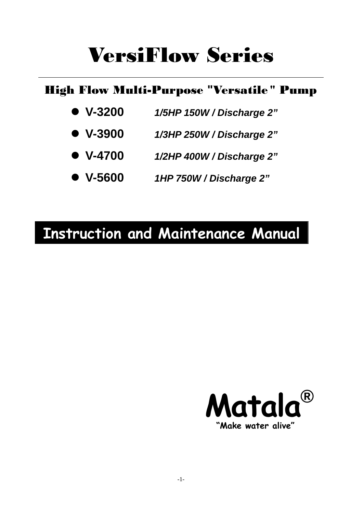# VersiFlow Series

### High Flow Multi-Purpose **"**Versatile " Pump

- z **V-3200** *1/5HP 150W / Discharge 2"*
- z **V-3900** *1/3HP 250W / Discharge 2"*
- z **V-4700** *1/2HP 400W / Discharge 2"*
- z **V-5600** *1HP 750W / Discharge 2"*

## **Instruction and Maintenance Manual**

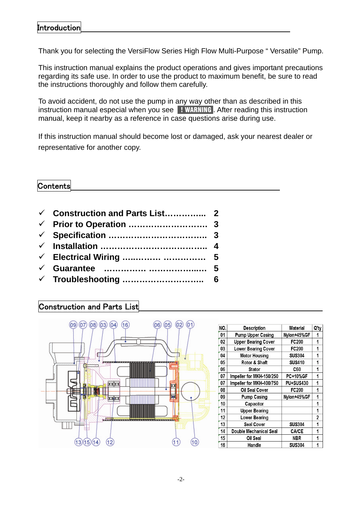#### Introduction

Thank you for selecting the VersiFlow Series High Flow Multi-Purpose " Versatile" Pump.

This instruction manual explains the product operations and gives important precautions regarding its safe use. In order to use the product to maximum benefit, be sure to read the instructions thoroughly and follow them carefully.

To avoid accident, do not use the pump in any way other than as described in this instruction manual especial when you see | WARNING . After reading this instruction manual, keep it nearby as a reference in case questions arise during use.

If this instruction manual should become lost or damaged, ask your nearest dealer or representative for another copy.

#### Contents

- 9 **Construction and Parts List…………... 2** 9 **Prior to Operation ………………………. 3**
- 9 **Specification …………………………….. 3**
- 9 **Installation ……………………………….. 4**
- 9 **Electrical Wiring …..……… …………… 5**
- 9 **Guarantee …………… ……………...… 5**
- 9 **Troubleshooting ……………………….. 6**

#### Construction and Parts List



| NO. | <b>Description</b>         | <b>Material</b> | Q'ty |
|-----|----------------------------|-----------------|------|
| 01  | <b>Pump Upper Casing</b>   | Nylon+45%GF     | 1    |
| 02  | <b>Upper Bearing Cover</b> | FC200           | 1    |
| 03  | <b>Lower Bearing Cover</b> | <b>FC200</b>    | 1    |
| 04  | <b>Motor Housing</b>       | <b>SUS304</b>   | 1    |
| 05  | Rotor & Shaft              | <b>SUS410</b>   | 1    |
| 06  | Stator                     | C60             | 1    |
| 07  | Impeller for MKH-150/250   | <b>PC+10%GF</b> | 1    |
| 07  | Impeller for MKH-400/750   | PU+SUS430       | 1    |
| 08  | Oil Seal Cover             | FC200           | 1    |
| 09  | <b>Pump Casing</b>         | Nvlon+45%GF     | 1    |
| 10  | Capacitor                  |                 | 1    |
| 11  | <b>Upper Bearing</b>       |                 | 1    |
| 12  | <b>Lower Bearing</b>       |                 | 2    |
| 13  | <b>Seal Cover</b>          | <b>SUS304</b>   | 1    |
| 14  | Double Mechanical Seal     | <b>CA/CE</b>    | 1    |
| 15  | Oil Seal                   | NBR             | 1    |
| 16  | Handle                     | <b>SUS304</b>   |      |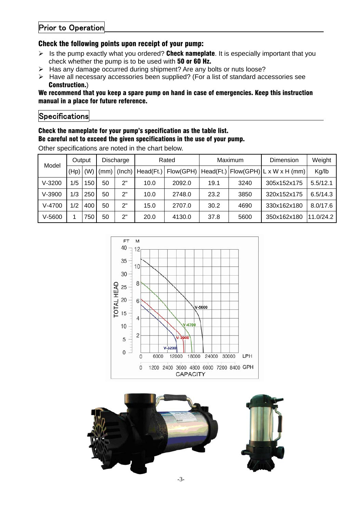#### Prior to Operation

#### Check the following points upon receipt of your pump:

- $\triangleright$  Is the pump exactly what you ordered? Check nameplate. It is especially important that you check whether the pump is to be used with 50 or 60 Hz.
- ¾ Has any damage occurred during shipment? Are any bolts or nuts loose?
- ¾ Have all necessary accessories been supplied? (For a list of standard accessories see Construction.)

#### We recommend that you keep a spare pump on hand in case of emergencies. Keep this instruction manual in a place for future reference.

#### **Specifications**

#### Check the nameplate for your pump's specification as the table list. Be careful not to exceed the given specifications in the use of your pump.

| Model    | Output |     | Discharge |        | Rated     |           | Maximum   |      | Dimension                                            | Weight    |
|----------|--------|-----|-----------|--------|-----------|-----------|-----------|------|------------------------------------------------------|-----------|
|          | (Hp)   | (W) | (mm)      | (Inch) | Head(Ft.) | Flow(GPH) | Head(Ft.) |      | $\text{[Flow(GPH)]L} \times W \times H \text{ (mm)}$ | Kg/lb     |
| $V-3200$ | 1/5    | 50  | 50        | 2"     | 10.0      | 2092.0    | 19.1      | 3240 | 305x152x175                                          | 5.5/12.1  |
| $V-3900$ | 1/3    | 250 | 50        | 2"     | 10.0      | 2748.0    | 23.2      | 3850 | 320x152x175                                          | 6.5/14.3  |
| $V-4700$ | 1/2    | 400 | 50        | 2"     | 15.0      | 2707.0    | 30.2      | 4690 | 330x162x180                                          | 8.0/17.6  |
| $V-5600$ |        | 750 | 50        | 2"     | 20.0      | 4130.0    | 37.8      | 5600 | 350x162x180                                          | 11.0/24.2 |

Other specifications are noted in the chart below.



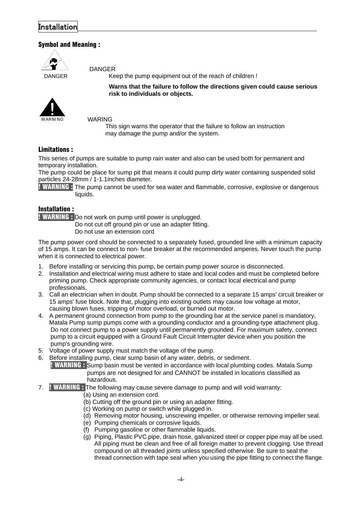#### Installation

#### Symbol and Meaning :

DANGER

DANGER Keep the pump equipment out of the reach of children !

**Warns that the failure to follow the directions given could cause serious risk to individuals or objects.** 

WARING

This sign warns the operator that the failure to follow an instruction may damage the pump and/or the system.

#### Limitations :

WARNING

This series of pumps are suitable to pump rain water and also can be used both for permanent and temporary installation.

The pump could be place for sump pit that means it could pump dirty water containing suspended solid particles 24-28mm / 1-1.1inches diameter.

**! WARNING :** The pump cannot be used for sea water and flammable, corrosive, explosive or dangerous liquids.

#### Installation :

! WARNING : Do not work on pump until power is unplugged.

Do not cut off ground pin or use an adapter fitting. Do not use an extension cord

The pump power cord should be connected to a separately fused, grounded line with a minimum capacity of 15 amps. It can be connect to non- fuse breaker at the recommended amperes. Never touch the pump when it is connected to electrical power.

- 1. Before installing or servicing this pump, be certain pump power source is disconnected.
- 2. Installation and electrical wiring must adhere to state and local codes and must be completed before priming pump. Check appropriate community agencies, or contact local electrical and pump professionals.
- 3. Call an electrician when in doubt. Pump should be connected to a separate 15 amps' circuit breaker or 15 amps' fuse block. Note that, plugging into existing outlets may cause low voltage at motor, causing blown fuses, tripping of motor overload, or burned out motor.
- 4. A permanent ground connection from pump to the grounding bar at the service panel is mandatory, Matala Pump sump pumps come with a grounding conductor and a grounding-type attachment plug. Do not connect pump to a power supply until permanently grounded. For maximum safety, connect pump to a circuit equipped with a Ground Fault Circuit Interrupter device when you position the pump's grounding wire.
- 5. Voltage of power supply must match the voltage of the pump.
- 6. Before installing pump, clear sump basin of any water, debris, or sediment.

 ! WARNING : Sump basin must be vented in accordance with local plumbing codes. Matala Sump pumps are not designed for and CANNOT be installed in locations classified as hazardous.

- 7. ! WARNING : The following may cause severe damage to pump and will void warranty:
	- (a) Using an extension cord.
	- (b) Cutting off the ground pin or using an adapter fitting.
	- (c) Working on pump or switch while plugged in.
	- (d) Removing motor housing, unscrewing impeller, or otherwise removing impeller seal.
	- (e) Pumping chemicals or corrosive liquids.
	- (f) Pumping gasoline or other flammable liquids.
	- (g) Piping, Plastic PVC pipe, drain hose, galvanized steel or copper pipe may all be used. All piping must be clean and free of all foreign matter to prevent clogging. Use thread compound on all threaded joints unless specified otherwise. Be sure to seal the thread connection with tape seal when you using the pipe fitting to connect the flange.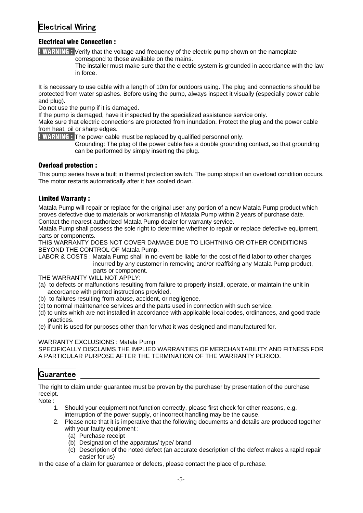#### Electrical Wiring

#### Electrical wire Connection :

**! WARNING :** Verify that the voltage and frequency of the electric pump shown on the nameplate correspond to those available on the mains.

> The installer must make sure that the electric system is grounded in accordance with the law in force.

It is necessary to use cable with a length of 10m for outdoors using. The plug and connections should be protected from water splashes. Before using the pump, always inspect it visually (especially power cable and plug).

Do not use the pump if it is damaged.

If the pump is damaged, have it inspected by the specialized assistance service only.

Make sure that electric connections are protected from inundation. Protect the plug and the power cable from heat, oil or sharp edges.

**WARNING:** The power cable must be replaced by qualified personnel only.

 Grounding: The plug of the power cable has a double grounding contact, so that grounding can be performed by simply inserting the plug.

#### Overload protection :

This pump series have a built in thermal protection switch. The pump stops if an overload condition occurs. The motor restarts automatically after it has cooled down.

#### Limited Warranty :

Matala Pump will repair or replace for the original user any portion of a new Matala Pump product which proves defective due to materials or workmanship of Matala Pump within 2 years of purchase date. Contact the nearest authorized Matala Pump dealer for warranty service.

Matala Pump shall possess the sole right to determine whether to repair or replace defective equipment, parts or components.

THIS WARRANTY DOES NOT COVER DAMAGE DUE TO LIGHTNING OR OTHER CONDITIONS BEYOND THE CONTROL OF Matala Pump.

LABOR & COSTS : Matala Pump shall in no event be liable for the cost of field labor to other charges incurred by any customer in removing and/or reaffixing any Matala Pump product, parts or component.

THE WARRANTY WILL NOT APPLY:

- (a) to defects or malfunctions resulting from failure to properly install, operate, or maintain the unit in accordance with printed instructions provided.
- (b) to failures resulting from abuse, accident, or negligence.
- (c) to normal maintenance services and the parts used in connection with such service.
- (d) to units which are not installed in accordance with applicable local codes, ordinances, and good trade practices.
- (e) if unit is used for purposes other than for what it was designed and manufactured for.

#### WARRANTY EXCLUSIONS : Matala Pump

SPECIFICALLY DISCLAIMS THE IMPLIED WARRANTIES OF MERCHANTABILITY AND FITNESS FOR A PARTICULAR PURPOSE AFTER THE TERMINATION OF THE WARRANTY PERIOD.

#### Guarantee

The right to claim under guarantee must be proven by the purchaser by presentation of the purchase receipt.

Note :

- 1. Should your equipment not function correctly, please first check for other reasons, e.g. interruption of the power supply, or incorrect handling may be the cause.
- 2. Please note that it is imperative that the following documents and details are produced together with your faulty equipment :
	- (a) Purchase receipt
	- (b) Designation of the apparatus/ type/ brand
	- (c) Description of the noted defect (an accurate description of the defect makes a rapid repair easier for us)

In the case of a claim for guarantee or defects, please contact the place of purchase.